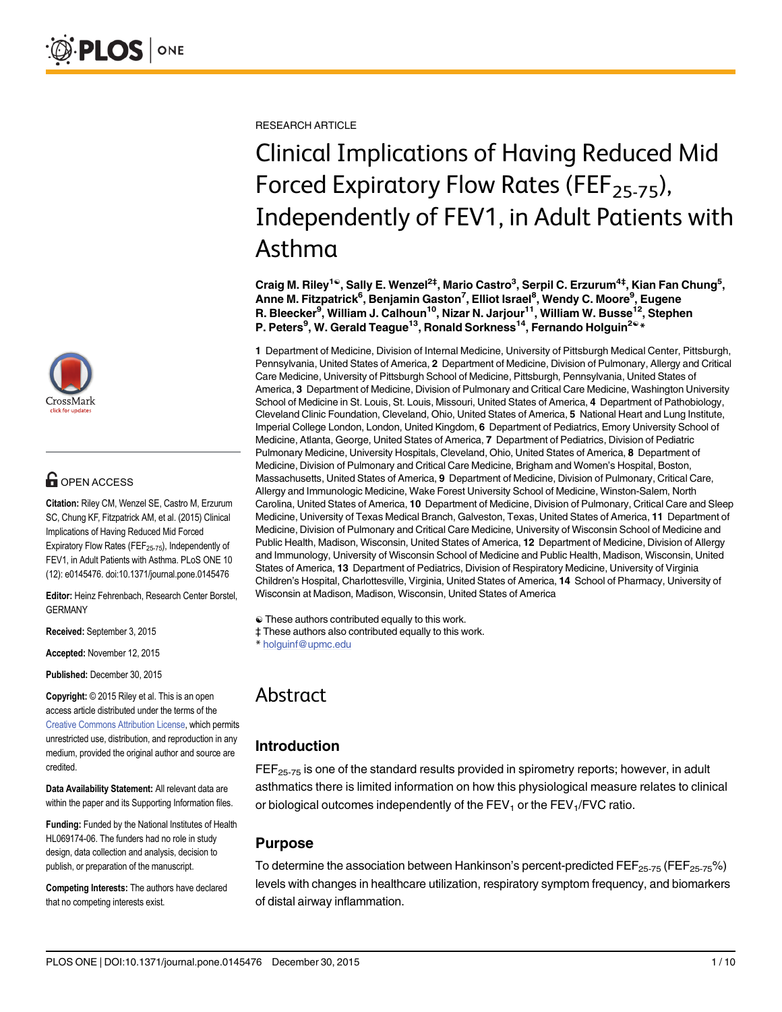

## **OPEN ACCESS**

Citation: Riley CM, Wenzel SE, Castro M, Erzurum SC, Chung KF, Fitzpatrick AM, et al. (2015) Clinical Implications of Having Reduced Mid Forced Expiratory Flow Rates (FEF $_{25-75}$ ), Independently of FEV1, in Adult Patients with Asthma. PLoS ONE 10 (12): e0145476. doi:10.1371/journal.pone.0145476

Editor: Heinz Fehrenbach, Research Center Borstel, GERMANY

Received: September 3, 2015

Accepted: November 12, 2015

Published: December 30, 2015

Copyright: © 2015 Riley et al. This is an open access article distributed under the terms of the [Creative Commons Attribution License,](http://creativecommons.org/licenses/by/4.0/) which permits unrestricted use, distribution, and reproduction in any medium, provided the original author and source are credited.

Data Availability Statement: All relevant data are within the paper and its Supporting Information files.

Funding: Funded by the National Institutes of Health HL069174-06. The funders had no role in study design, data collection and analysis, decision to publish, or preparation of the manuscript.

Competing Interests: The authors have declared that no competing interests exist.

RESEARCH ARTICLE

# Clinical Implications of Having Reduced Mid Forced Expiratory Flow Rates (FEF<sub>25-75</sub>), Independently of FEV1, in Adult Patients with Asthma

Craig M. Riley<sup>1©</sup>, Sally E. Wenzel<sup>2‡</sup>, Mario Castro<sup>3</sup>, Serpil C. Erzurum<sup>4‡</sup>, Kian Fan Chung<sup>5</sup>, Anne M. Fitzpatrick<sup>6</sup>, Benjamin Gaston<sup>7</sup>, Elliot Israel<sup>8</sup>, Wendy C. Moore<sup>9</sup>, Eugene R. Bleecker<sup>9</sup>, William J. Calhoun<sup>10</sup>, Nizar N. Jarjour<sup>11</sup>, William W. Busse<sup>12</sup>, Stephen P. Peters<sup>9</sup>, W. Gerald Teague<sup>13</sup>, Ronald Sorkness<sup>14</sup>, Fernando Holguin<sup>2©</sup> \*

1 Department of Medicine, Division of Internal Medicine, University of Pittsburgh Medical Center, Pittsburgh, Pennsylvania, United States of America, 2 Department of Medicine, Division of Pulmonary, Allergy and Critical Care Medicine, University of Pittsburgh School of Medicine, Pittsburgh, Pennsylvania, United States of America, 3 Department of Medicine, Division of Pulmonary and Critical Care Medicine, Washington University School of Medicine in St. Louis, St. Louis, Missouri, United States of America, 4 Department of Pathobiology, Cleveland Clinic Foundation, Cleveland, Ohio, United States of America, 5 National Heart and Lung Institute, Imperial College London, London, United Kingdom, 6 Department of Pediatrics, Emory University School of Medicine, Atlanta, George, United States of America, 7 Department of Pediatrics, Division of Pediatric Pulmonary Medicine, University Hospitals, Cleveland, Ohio, United States of America, 8 Department of Medicine, Division of Pulmonary and Critical Care Medicine, Brigham and Women's Hospital, Boston, Massachusetts, United States of America, 9 Department of Medicine, Division of Pulmonary, Critical Care, Allergy and Immunologic Medicine, Wake Forest University School of Medicine, Winston-Salem, North Carolina, United States of America, 10 Department of Medicine, Division of Pulmonary, Critical Care and Sleep Medicine, University of Texas Medical Branch, Galveston, Texas, United States of America, 11 Department of Medicine, Division of Pulmonary and Critical Care Medicine, University of Wisconsin School of Medicine and Public Health, Madison, Wisconsin, United States of America, 12 Department of Medicine, Division of Allergy and Immunology, University of Wisconsin School of Medicine and Public Health, Madison, Wisconsin, United States of America, 13 Department of Pediatrics, Division of Respiratory Medicine, University of Virginia Children's Hospital, Charlottesville, Virginia, United States of America, 14 School of Pharmacy, University of Wisconsin at Madison, Madison, Wisconsin, United States of America

☯ These authors contributed equally to this work.

‡ These authors also contributed equally to this work.

\* holguinf@upmc.edu

## Abstract

### Introduction

 $FEF<sub>25-75</sub>$  is one of the standard results provided in spirometry reports; however, in adult asthmatics there is limited information on how this physiological measure relates to clinical or biological outcomes independently of the  $FEV<sub>1</sub>$  or the  $FEV<sub>1</sub>/FVC$  ratio.

#### Purpose

To determine the association between Hankinson's percent-predicted  $\text{FEF}_{25-75}$  (FEF<sub>25-75</sub>%) levels with changes in healthcare utilization, respiratory symptom frequency, and biomarkers of distal airway inflammation.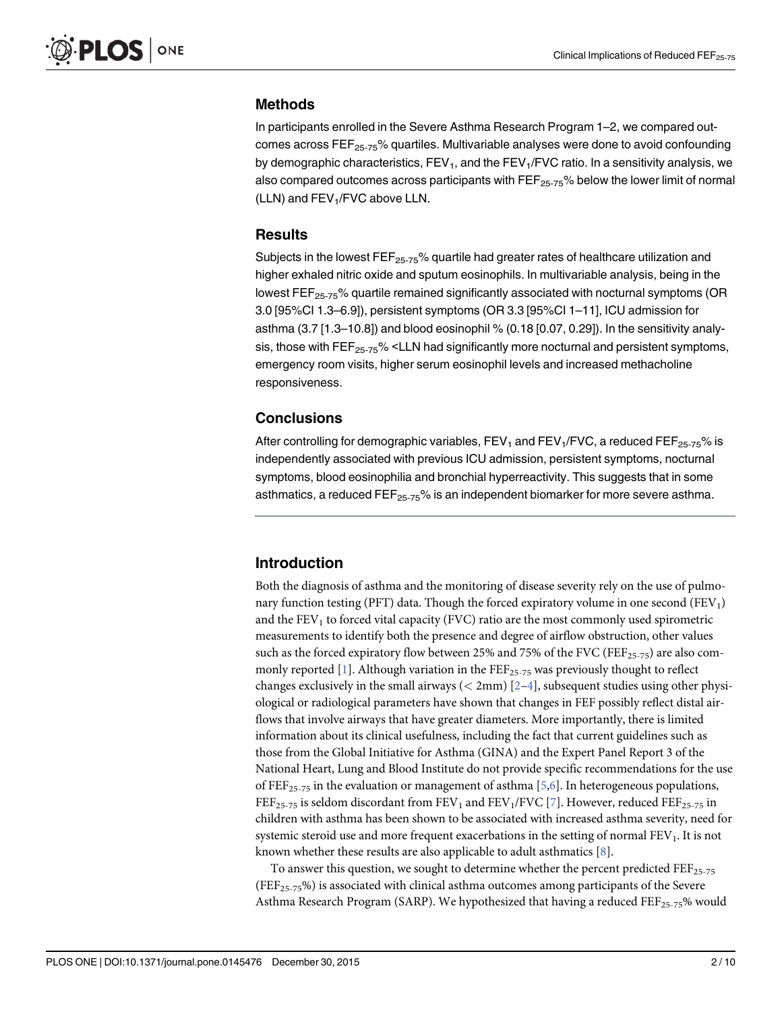#### <span id="page-1-0"></span>Methods

In participants enrolled in the Severe Asthma Research Program 1–2, we compared outcomes across  $FEF<sub>25-75</sub>$ % quartiles. Multivariable analyses were done to avoid confounding by demographic characteristics,  $FEV<sub>1</sub>$ , and the  $FEV<sub>1</sub>/FVC$  ratio. In a sensitivity analysis, we also compared outcomes across participants with  $\text{FE}_{25-75}$ % below the lower limit of normal (LLN) and FEV<sub>1</sub>/FVC above LLN.

#### **Results**

Subjects in the lowest  $FEF_{25-75}$ % quartile had greater rates of healthcare utilization and higher exhaled nitric oxide and sputum eosinophils. In multivariable analysis, being in the lowest  $FEF<sub>25-75</sub>$ % quartile remained significantly associated with nocturnal symptoms (OR 3.0 [95%CI 1.3–6.9]), persistent symptoms (OR 3.3 [95%CI 1–11], ICU admission for asthma (3.7 [1.3–10.8]) and blood eosinophil % (0.18 [0.07, 0.29]). In the sensitivity analysis, those with  $FEF_{25-75}$ % <LLN had significantly more nocturnal and persistent symptoms, emergency room visits, higher serum eosinophil levels and increased methacholine responsiveness.

#### **Conclusions**

After controlling for demographic variables,  $FEV<sub>1</sub>$  and  $FEV<sub>1</sub>/FVC$ , a reduced  $FEF<sub>25-75</sub>%$  is independently associated with previous ICU admission, persistent symptoms, nocturnal symptoms, blood eosinophilia and bronchial hyperreactivity. This suggests that in some asthmatics, a reduced  $\mathsf{FEF}_{25-75}$ % is an independent biomarker for more severe asthma.

#### Introduction

Both the diagnosis of asthma and the monitoring of disease severity rely on the use of pulmonary function testing (PFT) data. Though the forced expiratory volume in one second  $(FEV<sub>1</sub>)$ and the  $FEV<sub>1</sub>$  to forced vital capacity (FVC) ratio are the most commonly used spirometric measurements to identify both the presence and degree of airflow obstruction, other values such as the forced expiratory flow between 25% and 75% of the FVC (FEF<sub>25-75</sub>) are also com-monly reported [[1](#page-8-0)]. Although variation in the  $\text{FEF}_{25-75}$  was previously thought to reflect changes exclusively in the small airways ( $\langle 2mm \rangle$  $\langle 2mm \rangle$  $\langle 2mm \rangle$  [2-[4\]](#page-8-0), subsequent studies using other physiological or radiological parameters have shown that changes in FEF possibly reflect distal airflows that involve airways that have greater diameters. More importantly, there is limited information about its clinical usefulness, including the fact that current guidelines such as those from the Global Initiative for Asthma (GINA) and the Expert Panel Report 3 of the National Heart, Lung and Blood Institute do not provide specific recommendations for the use of FEF<sub>25-75</sub> in the evaluation or management of asthma [\[5](#page-8-0)[,6](#page-9-0)]. In heterogeneous populations, FEF<sub>25-75</sub> is seldom discordant from FEV<sub>1</sub> and FEV<sub>1</sub>/FVC [[7\]](#page-9-0). However, reduced FEF<sub>25-75</sub> in children with asthma has been shown to be associated with increased asthma severity, need for systemic steroid use and more frequent exacerbations in the setting of normal FEV<sub>1</sub>. It is not known whether these results are also applicable to adult asthmatics  $[8]$ .

To answer this question, we sought to determine whether the percent predicted  $\text{FEF}_{25-75}$ (FEF<sub>25-75</sub>%) is associated with clinical asthma outcomes among participants of the Severe Asthma Research Program (SARP). We hypothesized that having a reduced  $\text{FEF}_{25\text{-}75}\%$  would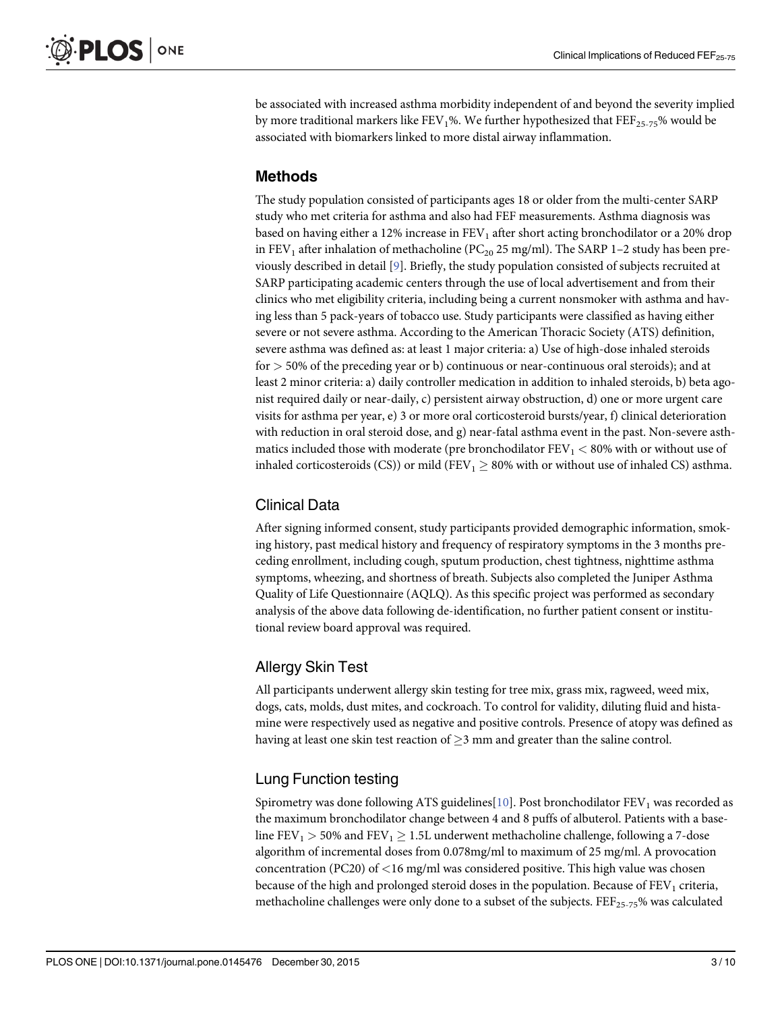<span id="page-2-0"></span>be associated with increased asthma morbidity independent of and beyond the severity implied by more traditional markers like FEV<sub>1</sub>%. We further hypothesized that FEF<sub>25-75</sub>% would be associated with biomarkers linked to more distal airway inflammation.

#### Methods

The study population consisted of participants ages 18 or older from the multi-center SARP study who met criteria for asthma and also had FEF measurements. Asthma diagnosis was based on having either a 12% increase in  $FEV<sub>1</sub>$  after short acting bronchodilator or a 20% drop in FEV<sub>1</sub> after inhalation of methacholine (PC<sub>20</sub> 25 mg/ml). The SARP 1-2 study has been previously described in detail [\[9\]](#page-9-0). Briefly, the study population consisted of subjects recruited at SARP participating academic centers through the use of local advertisement and from their clinics who met eligibility criteria, including being a current nonsmoker with asthma and having less than 5 pack-years of tobacco use. Study participants were classified as having either severe or not severe asthma. According to the American Thoracic Society (ATS) definition, severe asthma was defined as: at least 1 major criteria: a) Use of high-dose inhaled steroids for > 50% of the preceding year or b) continuous or near-continuous oral steroids); and at least 2 minor criteria: a) daily controller medication in addition to inhaled steroids, b) beta agonist required daily or near-daily, c) persistent airway obstruction, d) one or more urgent care visits for asthma per year, e) 3 or more oral corticosteroid bursts/year, f) clinical deterioration with reduction in oral steroid dose, and g) near-fatal asthma event in the past. Non-severe asthmatics included those with moderate (pre bronchodilator  $FEV<sub>1</sub> < 80%$  with or without use of inhaled corticosteroids (CS)) or mild (FEV<sub>1</sub>  $>$  80% with or without use of inhaled CS) asthma.

#### Clinical Data

After signing informed consent, study participants provided demographic information, smoking history, past medical history and frequency of respiratory symptoms in the 3 months preceding enrollment, including cough, sputum production, chest tightness, nighttime asthma symptoms, wheezing, and shortness of breath. Subjects also completed the Juniper Asthma Quality of Life Questionnaire (AQLQ). As this specific project was performed as secondary analysis of the above data following de-identification, no further patient consent or institutional review board approval was required.

### Allergy Skin Test

All participants underwent allergy skin testing for tree mix, grass mix, ragweed, weed mix, dogs, cats, molds, dust mites, and cockroach. To control for validity, diluting fluid and histamine were respectively used as negative and positive controls. Presence of atopy was defined as having at least one skin test reaction of  $\geq$ 3 mm and greater than the saline control.

### Lung Function testing

Spirometry was done following ATS guidelines [[10\]](#page-9-0). Post bronchodilator  $FEV<sub>1</sub>$  was recorded as the maximum bronchodilator change between 4 and 8 puffs of albuterol. Patients with a baseline FEV<sub>1</sub>  $>$  50% and FEV<sub>1</sub>  $\geq$  1.5L underwent methacholine challenge, following a 7-dose algorithm of incremental doses from 0.078mg/ml to maximum of 25 mg/ml. A provocation concentration (PC20) of  $\langle 16 \text{ mg/ml}$  was considered positive. This high value was chosen because of the high and prolonged steroid doses in the population. Because of  $FEV<sub>1</sub>$  criteria, methacholine challenges were only done to a subset of the subjects.  $FEF_{25-75}$ % was calculated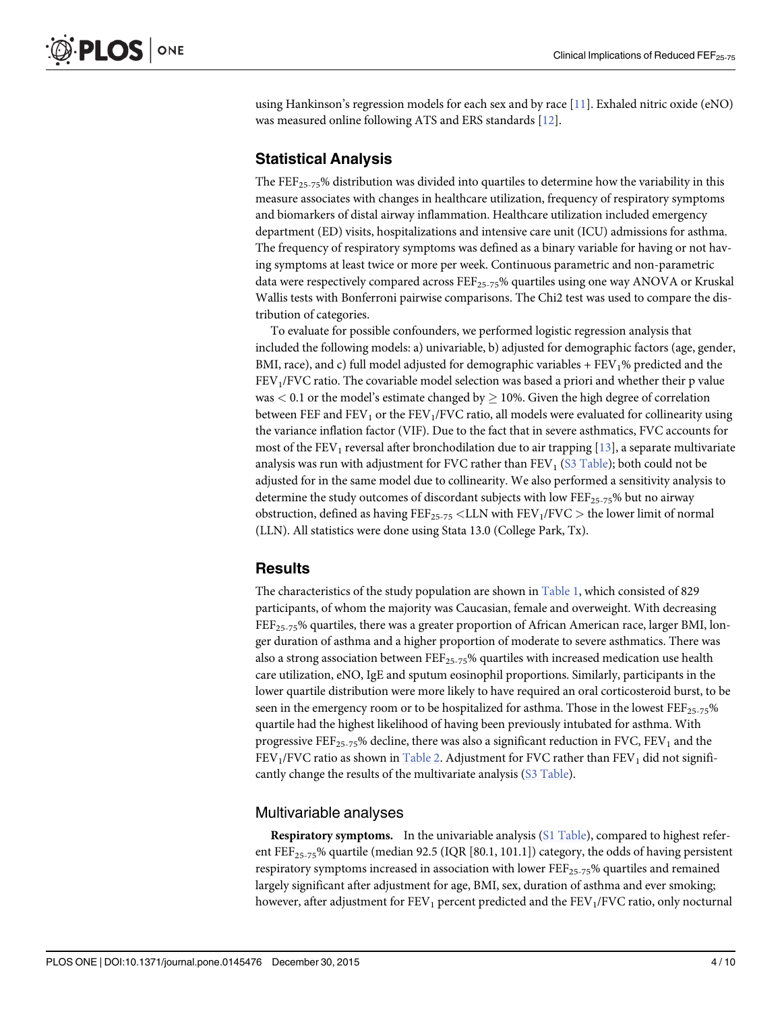<span id="page-3-0"></span>using Hankinson's regression models for each sex and by race [[11](#page-9-0)]. Exhaled nitric oxide (eNO) was measured online following ATS and ERS standards [[12](#page-9-0)].

#### Statistical Analysis

The  $\text{FEF}_{25-75}$ % distribution was divided into quartiles to determine how the variability in this measure associates with changes in healthcare utilization, frequency of respiratory symptoms and biomarkers of distal airway inflammation. Healthcare utilization included emergency department (ED) visits, hospitalizations and intensive care unit (ICU) admissions for asthma. The frequency of respiratory symptoms was defined as a binary variable for having or not having symptoms at least twice or more per week. Continuous parametric and non-parametric data were respectively compared across  $\text{FEF}_{25-75}$ % quartiles using one way ANOVA or Kruskal Wallis tests with Bonferroni pairwise comparisons. The Chi2 test was used to compare the distribution of categories.

To evaluate for possible confounders, we performed logistic regression analysis that included the following models: a) univariable, b) adjusted for demographic factors (age, gender, BMI, race), and c) full model adjusted for demographic variables  $+ FEV<sub>1</sub>%$  predicted and the FEV1/FVC ratio. The covariable model selection was based a priori and whether their p value was  $< 0.1$  or the model's estimate changed by  $\geq 10\%$ . Given the high degree of correlation between FEF and  $FEV<sub>1</sub>$  or the  $FEV<sub>1</sub>/FVC$  ratio, all models were evaluated for collinearity using the variance inflation factor (VIF). Due to the fact that in severe asthmatics, FVC accounts for most of the FEV<sub>1</sub> reversal after bronchodilation due to air trapping  $[13]$ , a separate multivariate analysis was run with adjustment for FVC rather than  $FEV<sub>1</sub>$  [\(S3 Table](#page-8-0)); both could not be adjusted for in the same model due to collinearity. We also performed a sensitivity analysis to determine the study outcomes of discordant subjects with low  $\text{FEF}_{25-75}$ % but no airway obstruction, defined as having  $\text{FE}_{25-75}$  < LLN with  $\text{FE}_{1/FVC}$  > the lower limit of normal (LLN). All statistics were done using Stata 13.0 (College Park, Tx).

#### **Results**

The characteristics of the study population are shown in [Table 1](#page-4-0), which consisted of 829 participants, of whom the majority was Caucasian, female and overweight. With decreasing FEF<sub>25-75</sub>% quartiles, there was a greater proportion of African American race, larger BMI, longer duration of asthma and a higher proportion of moderate to severe asthmatics. There was also a strong association between  $\text{FE}_{25-75}$ % quartiles with increased medication use health care utilization, eNO, IgE and sputum eosinophil proportions. Similarly, participants in the lower quartile distribution were more likely to have required an oral corticosteroid burst, to be seen in the emergency room or to be hospitalized for asthma. Those in the lowest  $FEF_{25-75}$ % quartile had the highest likelihood of having been previously intubated for asthma. With progressive FEF<sub>25-75</sub>% decline, there was also a significant reduction in FVC, FEV<sub>1</sub> and the FEV<sub>1</sub>/FVC ratio as shown in [Table 2.](#page-4-0) Adjustment for FVC rather than FEV<sub>1</sub> did not signifi-cantly change the results of the multivariate analysis [\(S3 Table](#page-8-0)).

#### Multivariable analyses

**Respiratory symptoms.** In the univariable analysis  $(S1 \text{ Table})$ , compared to highest referent FEF<sub>25-75</sub>% quartile (median 92.5 (IQR [80.1, 101.1]) category, the odds of having persistent respiratory symptoms increased in association with lower  $\text{FEF}_{25-75}$ % quartiles and remained largely significant after adjustment for age, BMI, sex, duration of asthma and ever smoking; however, after adjustment for  $FEV_1$  percent predicted and the  $FEV_1/FVC$  ratio, only nocturnal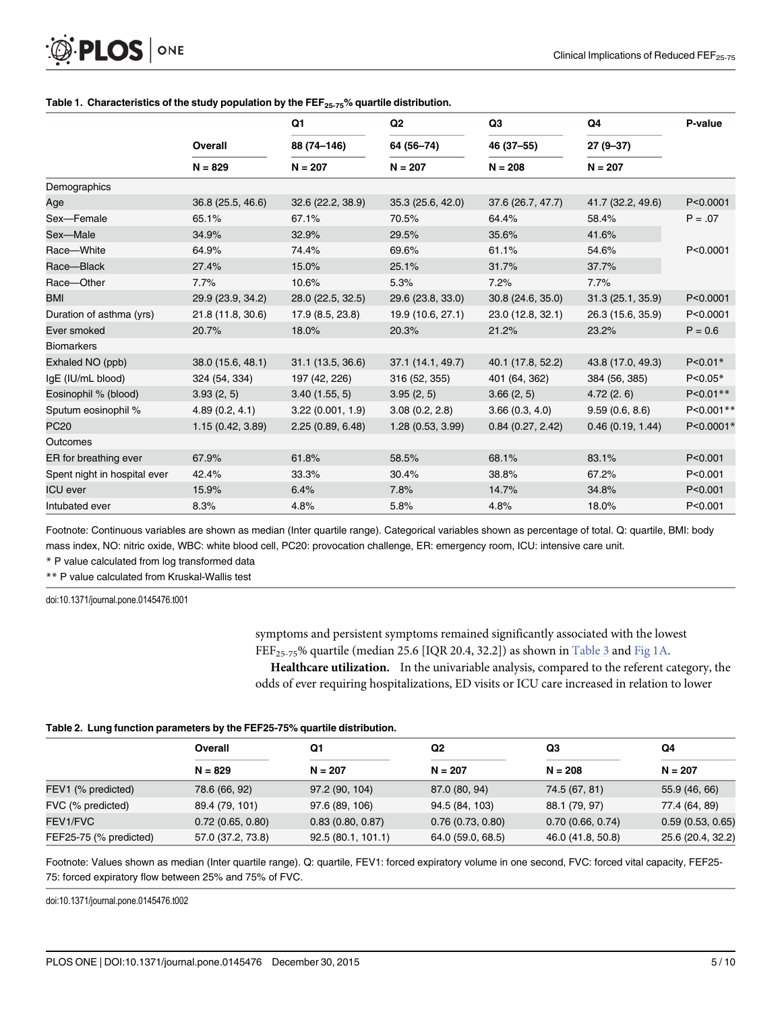<span id="page-4-0"></span>

|                              | Overall<br>$N = 829$ | Q1<br>88 (74-146)<br>$N = 207$ | Q <sub>2</sub><br>64 (56-74)<br>$N = 207$ | Q <sub>3</sub>    | Q4<br>$27(9-37)$<br>$N = 207$ | P-value      |
|------------------------------|----------------------|--------------------------------|-------------------------------------------|-------------------|-------------------------------|--------------|
|                              |                      |                                |                                           | 46 (37-55)        |                               |              |
|                              |                      |                                |                                           | $N = 208$         |                               |              |
| Demographics                 |                      |                                |                                           |                   |                               |              |
| Age                          | 36.8 (25.5, 46.6)    | 32.6(22.2, 38.9)               | 35.3(25.6, 42.0)                          | 37.6 (26.7, 47.7) | 41.7 (32.2, 49.6)             | P<0.0001     |
| Sex-Female                   | 65.1%                | 67.1%                          | 70.5%                                     | 64.4%             | 58.4%                         | $P = .07$    |
| Sex-Male                     | 34.9%                | 32.9%                          | 29.5%                                     | 35.6%             | 41.6%                         |              |
| Race-White                   | 64.9%                | 74.4%                          | 69.6%                                     | 61.1%             | 54.6%                         | P<0.0001     |
| Race-Black                   | 27.4%                | 15.0%                          | 25.1%                                     | 31.7%             | 37.7%                         |              |
| Race-Other                   | 7.7%                 | 10.6%                          | 5.3%                                      | 7.2%              | 7.7%                          |              |
| <b>BMI</b>                   | 29.9 (23.9, 34.2)    | 28.0 (22.5, 32.5)              | 29.6 (23.8, 33.0)                         | 30.8 (24.6, 35.0) | 31.3 (25.1, 35.9)             | P<0.0001     |
| Duration of asthma (yrs)     | 21.8 (11.8, 30.6)    | 17.9 (8.5, 23.8)               | 19.9 (10.6, 27.1)                         | 23.0 (12.8, 32.1) | 26.3 (15.6, 35.9)             | P<0.0001     |
| Ever smoked                  | 20.7%                | 18.0%                          | 20.3%                                     | 21.2%             | 23.2%                         | $P = 0.6$    |
| <b>Biomarkers</b>            |                      |                                |                                           |                   |                               |              |
| Exhaled NO (ppb)             | 38.0 (15.6, 48.1)    | 31.1 (13.5, 36.6)              | 37.1 (14.1, 49.7)                         | 40.1 (17.8, 52.2) | 43.8 (17.0, 49.3)             | $P < 0.01*$  |
| IgE (IU/mL blood)            | 324 (54, 334)        | 197 (42, 226)                  | 316 (52, 355)                             | 401 (64, 362)     | 384 (56, 385)                 | $P < 0.05*$  |
| Eosinophil % (blood)         | 3.93(2, 5)           | 3.40(1.55, 5)                  | 3.95(2, 5)                                | 3.66(2, 5)        | 4.72(2.6)                     | $P < 0.01**$ |
| Sputum eosinophil %          | 4.89(0.2, 4.1)       | 3.22(0.001, 1.9)               | 3.08(0.2, 2.8)                            | 3.66(0.3, 4.0)    | 9.59(0.6, 8.6)                | P<0.001**    |
| <b>PC20</b>                  | 1.15(0.42, 3.89)     | 2.25(0.89, 6.48)               | 1.28 (0.53, 3.99)                         | 0.84(0.27, 2.42)  | 0.46(0.19, 1.44)              | P<0.0001*    |
| <b>Outcomes</b>              |                      |                                |                                           |                   |                               |              |
| ER for breathing ever        | 67.9%                | 61.8%                          | 58.5%                                     | 68.1%             | 83.1%                         | P < 0.001    |
| Spent night in hospital ever | 42.4%                | 33.3%                          | 30.4%                                     | 38.8%             | 67.2%                         | P < 0.001    |
| <b>ICU</b> ever              | 15.9%                | 6.4%                           | 7.8%                                      | 14.7%             | 34.8%                         | P < 0.001    |
| Intubated ever               | 8.3%                 | 4.8%                           | 5.8%                                      | 4.8%              | 18.0%                         | P < 0.001    |

#### [Table 1.](#page-3-0) Characteristics of the study population by the  $\text{FEF}_{25-75}$ % quartile distribution.

Footnote: Continuous variables are shown as median (Inter quartile range). Categorical variables shown as percentage of total. Q: quartile, BMI: body mass index, NO: nitric oxide, WBC: white blood cell, PC20: provocation challenge, ER: emergency room, ICU: intensive care unit.

\* P value calculated from log transformed data

\*\* P value calculated from Kruskal-Wallis test

doi:10.1371/journal.pone.0145476.t001

symptoms and persistent symptoms remained significantly associated with the lowest FEF<sub>25-75</sub>% quartile (median 25.6 [IQR 20.4, 32.2]) as shown in [Table 3](#page-5-0) and [Fig 1A.](#page-6-0)

Healthcare utilization. In the univariable analysis, compared to the referent category, the odds of ever requiring hospitalizations, ED visits or ICU care increased in relation to lower

#### [Table 2.](#page-3-0) Lung function parameters by the FEF25-75% quartile distribution.

|                        | Overall           | Q1                | Q2                | Q3                | Q4                |
|------------------------|-------------------|-------------------|-------------------|-------------------|-------------------|
|                        | $N = 829$         | $N = 207$         | $N = 207$         | $N = 208$         | $N = 207$         |
| FEV1 (% predicted)     | 78.6 (66, 92)     | 97.2 (90, 104)    | 87.0 (80, 94)     | 74.5 (67, 81)     | 55.9 (46, 66)     |
| FVC (% predicted)      | 89.4 (79, 101)    | 97.6 (89, 106)    | 94.5 (84, 103)    | 88.1 (79, 97)     | 77.4 (64, 89)     |
| FEV1/FVC               | 0.72(0.65, 0.80)  | 0.83(0.80, 0.87)  | 0.76(0.73, 0.80)  | 0.70(0.66, 0.74)  | 0.59(0.53, 0.65)  |
| FEF25-75 (% predicted) | 57.0 (37.2, 73.8) | 92.5(80.1, 101.1) | 64.0 (59.0, 68.5) | 46.0 (41.8, 50.8) | 25.6 (20.4, 32.2) |

Footnote: Values shown as median (Inter quartile range). Q: quartile, FEV1: forced expiratory volume in one second, FVC: forced vital capacity, FEF25- 75: forced expiratory flow between 25% and 75% of FVC.

doi:10.1371/journal.pone.0145476.t002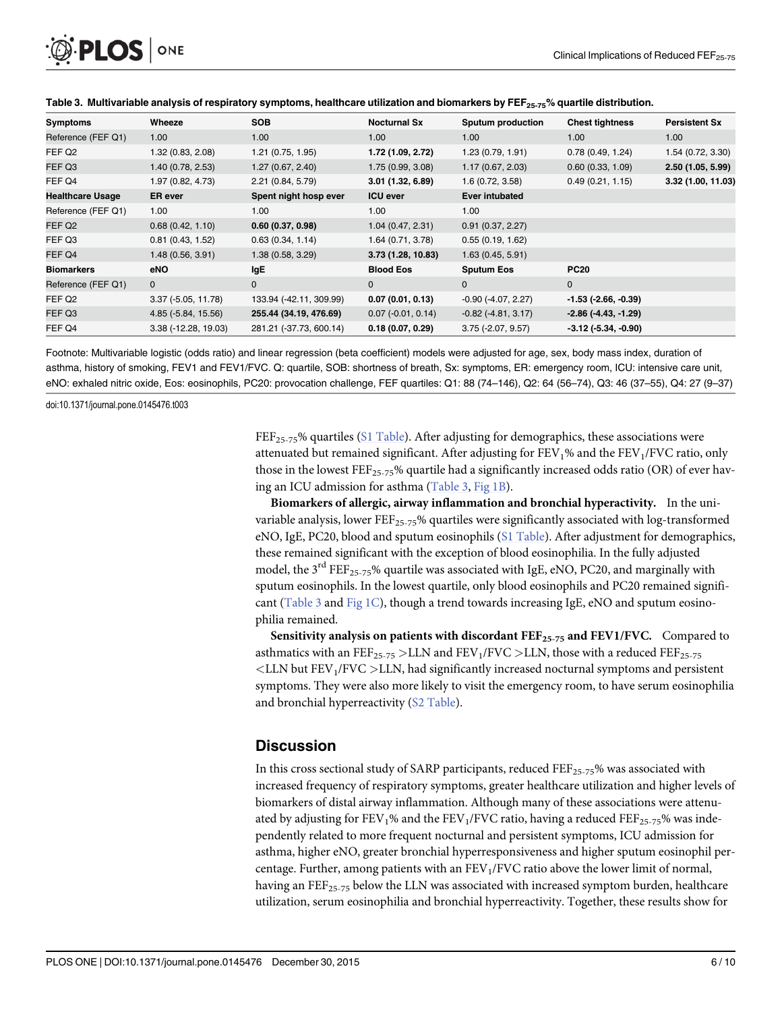<span id="page-5-0"></span>

| Wheeze                        | <b>SOB</b>              | <b>Nocturnal Sx</b>         | <b>Sputum production</b>  | <b>Chest tightness</b>        | <b>Persistent Sx</b> |
|-------------------------------|-------------------------|-----------------------------|---------------------------|-------------------------------|----------------------|
| 1.00                          | 1.00                    | 1.00                        | 1.00                      | 1.00                          | 1.00                 |
| 1.32(0.83, 2.08)              | 1.21(0.75, 1.95)        | 1.72 (1.09, 2.72)           | 1.23(0.79, 1.91)          | 0.78(0.49, 1.24)              | 1.54 (0.72, 3.30)    |
| 1.40 (0.78, 2.53)             | 1.27(0.67, 2.40)        | 1.75(0.99, 3.08)            | 1.17(0.67, 2.03)          | 0.60(0.33, 1.09)              | 2.50(1.05, 5.99)     |
| 1.97 (0.82, 4.73)             | 2.21 (0.84, 5.79)       | 3.01(1.32, 6.89)            | 1.6(0.72, 3.58)           | 0.49(0.21, 1.15)              | 3.32 (1.00, 11.03)   |
| <b>ER</b> ever                | Spent night hosp ever   | <b>ICU ever</b>             | <b>Ever intubated</b>     |                               |                      |
| 1.00                          | 1.00                    | 1.00                        | 1.00                      |                               |                      |
| 0.68(0.42, 1.10)              | 0.60(0.37, 0.98)        | 1.04(0.47, 2.31)            | 0.91(0.37, 2.27)          |                               |                      |
| 0.81(0.43, 1.52)              | 0.63(0.34, 1.14)        | 1.64(0.71, 3.78)            | 0.55(0.19, 1.62)          |                               |                      |
| 1.48(0.56, 3.91)              | 1.38 (0.58, 3.29)       | 3.73(1.28, 10.83)           | 1.63(0.45, 5.91)          |                               |                      |
| eNO                           | lgE                     | <b>Blood Eos</b>            | <b>Sputum Eos</b>         | <b>PC20</b>                   |                      |
| 0                             | $\mathbf 0$             | $\Omega$                    | $\mathbf{0}$              | 0                             |                      |
| $3.37$ ( $-5.05$ , $11.78$ )  | 133.94 (-42.11, 309.99) | 0.07(0.01, 0.13)            | $-0.90$ $(-4.07, 2.27)$   | $-1.53$ ( $-2.66, -0.39$ )    |                      |
| 4.85 (-5.84, 15.56)           | 255.44 (34.19, 476.69)  | $0.07$ ( $-0.01$ , $0.14$ ) | $-0.82$ ( $-4.81, 3.17$ ) | $-2.86(-4.43,-1.29)$          |                      |
| $3.38$ ( $-12.28$ , $19.03$ ) | 281.21 (-37.73, 600.14) | 0.18(0.07, 0.29)            | $3.75$ (-2.07, 9.57)      | $-3.12$ ( $-5.34$ , $-0.90$ ) |                      |
|                               |                         |                             |                           |                               |                      |

#### [Table 3.](#page-4-0) Multivariable analysis of respiratory symptoms, healthcare utilization and biomarkers by FEF<sub>25-75</sub>% quartile distribution.

Footnote: Multivariable logistic (odds ratio) and linear regression (beta coefficient) models were adjusted for age, sex, body mass index, duration of asthma, history of smoking, FEV1 and FEV1/FVC. Q: quartile, SOB: shortness of breath, Sx: symptoms, ER: emergency room, ICU: intensive care unit, eNO: exhaled nitric oxide, Eos: eosinophils, PC20: provocation challenge, FEF quartiles: Q1: 88 (74–146), Q2: 64 (56–74), Q3: 46 (37–55), Q4: 27 (9–37)

doi:10.1371/journal.pone.0145476.t003

FEF<sub>25-75</sub>% quartiles ( $S1$  Table). After adjusting for demographics, these associations were attenuated but remained significant. After adjusting for  $FEV<sub>1</sub>%$  and the  $FEV<sub>1</sub>/FVC$  ratio, only those in the lowest  $\text{FEF}_{25\text{-}75}$ % quartile had a significantly increased odds ratio (OR) of ever having an ICU admission for asthma (Table 3, [Fig 1B](#page-6-0)).

Biomarkers of allergic, airway inflammation and bronchial hyperactivity. In the univariable analysis, lower  $\text{FEF}_{25\text{-}75}$ % quartiles were significantly associated with log-transformed eNO, IgE, PC20, blood and sputum eosinophils ([S1 Table\)](#page-7-0). After adjustment for demographics, these remained significant with the exception of blood eosinophilia. In the fully adjusted model, the  $3^{rd}$  FEF<sub>25-75</sub>% quartile was associated with IgE, eNO, PC20, and marginally with sputum eosinophils. In the lowest quartile, only blood eosinophils and PC20 remained signifi-cant (Table 3 and [Fig 1C](#page-6-0)), though a trend towards increasing IgE, eNO and sputum eosinophilia remained.

Sensitivity analysis on patients with discordant  $FEF_{25-75}$  and  $FEV1/FVC$ . Compared to asthmatics with an FEF<sub>25-75</sub> >LLN and FEV<sub>1</sub>/FVC >LLN, those with a reduced FEF<sub>25-75</sub>  $\leq$ LLN but FEV<sub>1</sub>/FVC  $>$ LLN, had significantly increased nocturnal symptoms and persistent symptoms. They were also more likely to visit the emergency room, to have serum eosinophilia and bronchial hyperreactivity ([S2 Table\)](#page-8-0).

#### **Discussion**

In this cross sectional study of SARP participants, reduced  $FEF_{25-75}$ % was associated with increased frequency of respiratory symptoms, greater healthcare utilization and higher levels of biomarkers of distal airway inflammation. Although many of these associations were attenuated by adjusting for  $FEV_1%$  and the  $FEV_1/FVC$  ratio, having a reduced  $FEF_{25-75}%$  was independently related to more frequent nocturnal and persistent symptoms, ICU admission for asthma, higher eNO, greater bronchial hyperresponsiveness and higher sputum eosinophil percentage. Further, among patients with an  $FEV<sub>1</sub>/FVC$  ratio above the lower limit of normal, having an FEF<sub>25-75</sub> below the LLN was associated with increased symptom burden, healthcare utilization, serum eosinophilia and bronchial hyperreactivity. Together, these results show for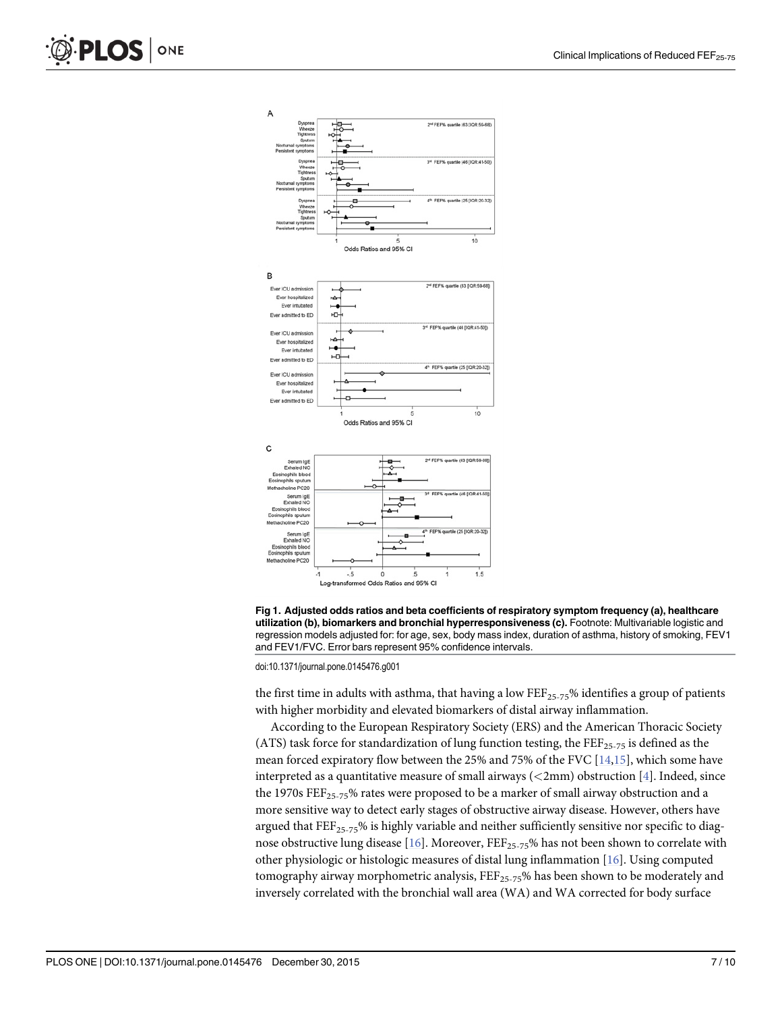<span id="page-6-0"></span>



[Fig 1. A](#page-4-0)djusted odds ratios and beta coefficients of respiratory symptom frequency (a), healthcare utilization (b), biomarkers and bronchial hyperresponsiveness (c). Footnote: Multivariable logistic and regression models adjusted for: for age, sex, body mass index, duration of asthma, history of smoking, FEV1 and FEV1/FVC. Error bars represent 95% confidence intervals.

doi:10.1371/journal.pone.0145476.g001

the first time in adults with asthma, that having a low  $\text{FEF}_{25-75}$ % identifies a group of patients with higher morbidity and elevated biomarkers of distal airway inflammation.

According to the European Respiratory Society (ERS) and the American Thoracic Society (ATS) task force for standardization of lung function testing, the  $FEF_{25-75}$  is defined as the mean forced expiratory flow between the 25% and 75% of the FVC [[14](#page-9-0),[15](#page-9-0)], which some have interpreted as a quantitative measure of small airways ( $\langle$ 2mm) obstruction [ $\frac{4}{3}$  $\frac{4}{3}$  $\frac{4}{3}$ ]. Indeed, since the 1970s  $\text{FEF}_{25-75}$ % rates were proposed to be a marker of small airway obstruction and a more sensitive way to detect early stages of obstructive airway disease. However, others have argued that  $\text{FEF}_{25-75}$ % is highly variable and neither sufficiently sensitive nor specific to diagnose obstructive lung disease [ $16$ ]. Moreover, FEF<sub>25-75</sub>% has not been shown to correlate with other physiologic or histologic measures of distal lung inflammation [\[16\]](#page-9-0). Using computed tomography airway morphometric analysis,  $\text{FE}_{25-75}$ % has been shown to be moderately and inversely correlated with the bronchial wall area (WA) and WA corrected for body surface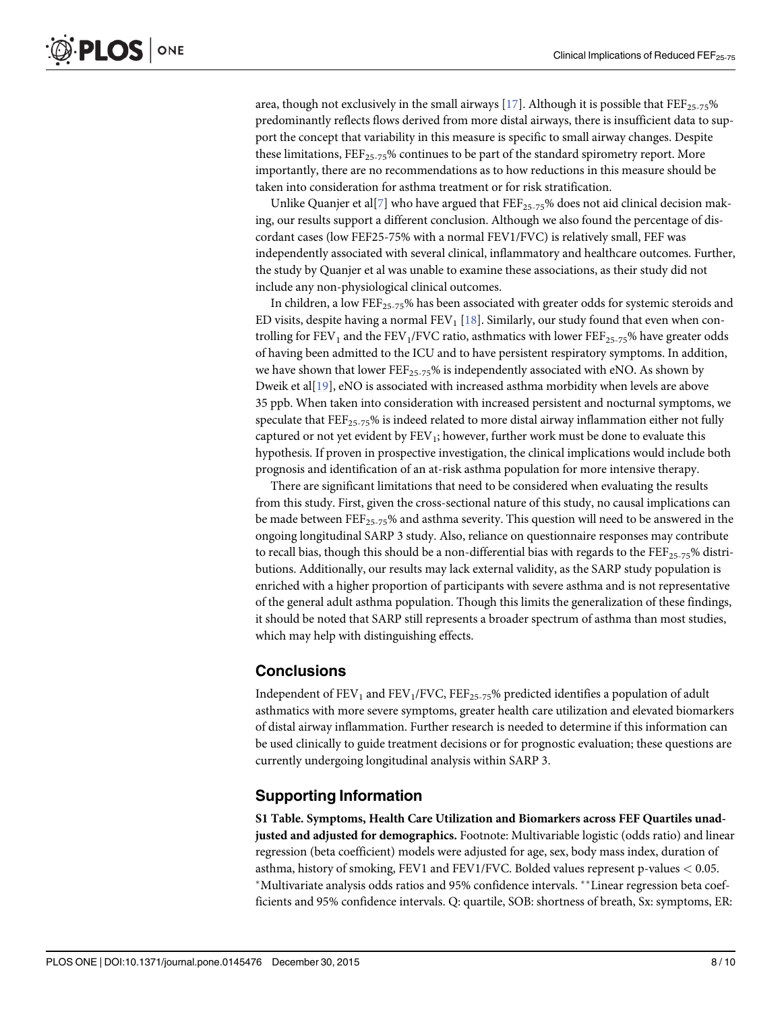<span id="page-7-0"></span>area, though not exclusively in the small airways [\[17\]](#page-9-0). Although it is possible that  $\text{FE}_{25-75}$ % predominantly reflects flows derived from more distal airways, there is insufficient data to support the concept that variability in this measure is specific to small airway changes. Despite these limitations,  $\text{FEF}_{25-75}$ % continues to be part of the standard spirometry report. More importantly, there are no recommendations as to how reductions in this measure should be taken into consideration for asthma treatment or for risk stratification.

Unlike Quanjer et al[*7*] who have argued that FEF<sub>25-75</sub>% does not aid clinical decision making, our results support a different conclusion. Although we also found the percentage of discordant cases (low FEF25-75% with a normal FEV1/FVC) is relatively small, FEF was independently associated with several clinical, inflammatory and healthcare outcomes. Further, the study by Quanjer et al was unable to examine these associations, as their study did not include any non-physiological clinical outcomes.

In children, a low  $\text{FE}_{25-75}$ % has been associated with greater odds for systemic steroids and ED visits, despite having a normal  $FEV<sub>1</sub>$  [[18](#page-9-0)]. Similarly, our study found that even when controlling for  $FEV_1$  and the  $FEV_1/FVC$  ratio, asthmatics with lower  $FEF_{25-75}$ % have greater odds of having been admitted to the ICU and to have persistent respiratory symptoms. In addition, we have shown that lower  $\text{FE}_{25-75}$ % is independently associated with eNO. As shown by Dweik et al[[19](#page-9-0)], eNO is associated with increased asthma morbidity when levels are above 35 ppb. When taken into consideration with increased persistent and nocturnal symptoms, we speculate that  $\text{FE}$ <sub>25-75</sub>% is indeed related to more distal airway inflammation either not fully captured or not yet evident by  $FEV_1$ ; however, further work must be done to evaluate this hypothesis. If proven in prospective investigation, the clinical implications would include both prognosis and identification of an at-risk asthma population for more intensive therapy.

There are significant limitations that need to be considered when evaluating the results from this study. First, given the cross-sectional nature of this study, no causal implications can be made between  $\text{FEF}_{25-75}$ % and asthma severity. This question will need to be answered in the ongoing longitudinal SARP 3 study. Also, reliance on questionnaire responses may contribute to recall bias, though this should be a non-differential bias with regards to the  $\text{FE}$ <sub>25-75</sub>% distributions. Additionally, our results may lack external validity, as the SARP study population is enriched with a higher proportion of participants with severe asthma and is not representative of the general adult asthma population. Though this limits the generalization of these findings, it should be noted that SARP still represents a broader spectrum of asthma than most studies, which may help with distinguishing effects.

#### Conclusions

Independent of  $FEV<sub>1</sub>$  and  $FEV<sub>1</sub>/FVC$ ,  $FEF<sub>25-75</sub>%$  predicted identifies a population of adult asthmatics with more severe symptoms, greater health care utilization and elevated biomarkers of distal airway inflammation. Further research is needed to determine if this information can be used clinically to guide treatment decisions or for prognostic evaluation; these questions are currently undergoing longitudinal analysis within SARP 3.

#### Supporting Information

[S1 Table](http://www.plosone.org/article/fetchSingleRepresentation.action?uri=info:doi/10.1371/journal.pone.0145476.s001). Symptoms, Health Care Utilization and Biomarkers across FEF Quartiles unadjusted and adjusted for demographics. Footnote: Multivariable logistic (odds ratio) and linear regression (beta coefficient) models were adjusted for age, sex, body mass index, duration of asthma, history of smoking, FEV1 and FEV1/FVC. Bolded values represent p-values < 0.05. \*Multivariate analysis odds ratios and 95% confidence intervals. \*\*Linear regression beta coefficients and 95% confidence intervals. Q: quartile, SOB: shortness of breath, Sx: symptoms, ER: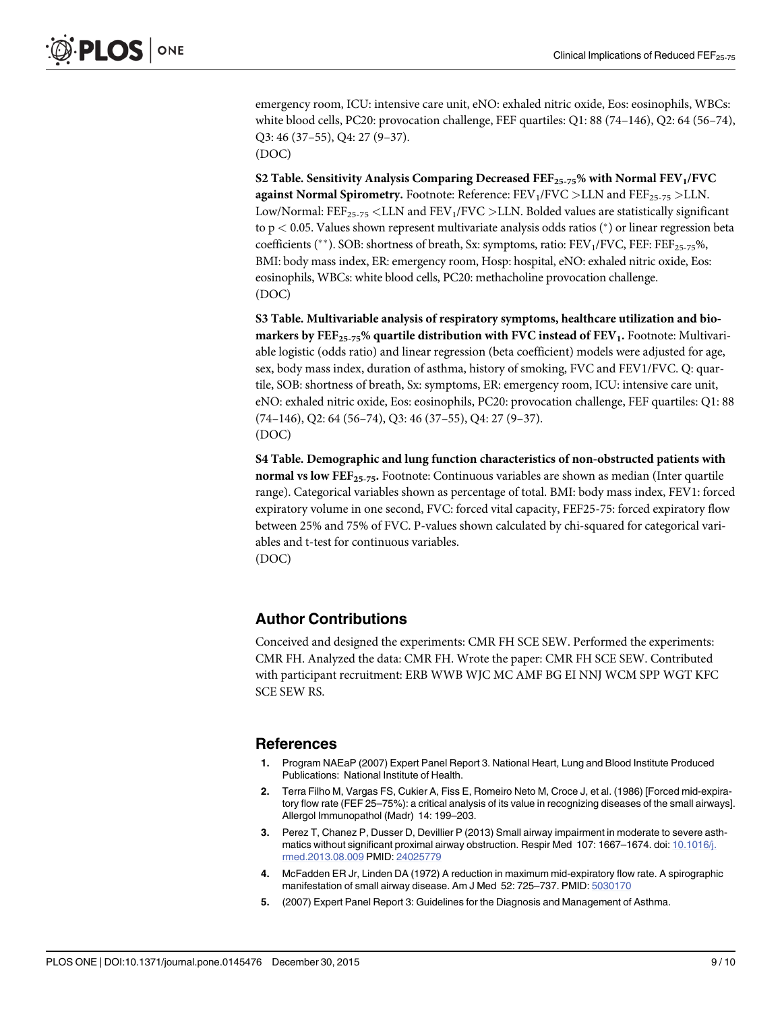<span id="page-8-0"></span>emergency room, ICU: intensive care unit, eNO: exhaled nitric oxide, Eos: eosinophils, WBCs: white blood cells, PC20: provocation challenge, FEF quartiles: Q1: 88 (74–146), Q2: 64 (56–74), Q3: 46 (37–55), Q4: 27 (9–37).

(DOC)

[S2 Table](http://www.plosone.org/article/fetchSingleRepresentation.action?uri=info:doi/10.1371/journal.pone.0145476.s002). Sensitivity Analysis Comparing Decreased FEF<sub>25-75</sub>% with Normal FEV<sub>1</sub>/FVC against Normal Spirometry. Footnote: Reference:  $FEV_1/FVC > LLN$  and  $FEF_{25-75} > LLN$ . Low/Normal:  $\text{FEF}_{25-75}$  <LLN and  $\text{FEV}_1/\text{FVC}$  >LLN. Bolded values are statistically significant to  $p < 0.05$ . Values shown represent multivariate analysis odds ratios (\*) or linear regression beta coefficients (\*\*). SOB: shortness of breath, Sx: symptoms, ratio:  $FEV_1/FVC$ ,  $FEF: FEF_{25-75}\%$ , BMI: body mass index, ER: emergency room, Hosp: hospital, eNO: exhaled nitric oxide, Eos: eosinophils, WBCs: white blood cells, PC20: methacholine provocation challenge. (DOC)

[S3 Table](http://www.plosone.org/article/fetchSingleRepresentation.action?uri=info:doi/10.1371/journal.pone.0145476.s003). Multivariable analysis of respiratory symptoms, healthcare utilization and biomarkers by  $\text{FE}$ <sub>25-75</sub>% quartile distribution with FVC instead of FEV<sub>1</sub>. Footnote: Multivariable logistic (odds ratio) and linear regression (beta coefficient) models were adjusted for age, sex, body mass index, duration of asthma, history of smoking, FVC and FEV1/FVC. Q: quartile, SOB: shortness of breath, Sx: symptoms, ER: emergency room, ICU: intensive care unit, eNO: exhaled nitric oxide, Eos: eosinophils, PC20: provocation challenge, FEF quartiles: Q1: 88 (74–146), Q2: 64 (56–74), Q3: 46 (37–55), Q4: 27 (9–37). (DOC)

[S4 Table](http://www.plosone.org/article/fetchSingleRepresentation.action?uri=info:doi/10.1371/journal.pone.0145476.s004). Demographic and lung function characteristics of non-obstructed patients with normal vs low FEF<sub>25-75</sub>. Footnote: Continuous variables are shown as median (Inter quartile range). Categorical variables shown as percentage of total. BMI: body mass index, FEV1: forced expiratory volume in one second, FVC: forced vital capacity, FEF25-75: forced expiratory flow between 25% and 75% of FVC. P-values shown calculated by chi-squared for categorical variables and t-test for continuous variables. (DOC)

#### Author Contributions

Conceived and designed the experiments: CMR FH SCE SEW. Performed the experiments: CMR FH. Analyzed the data: CMR FH. Wrote the paper: CMR FH SCE SEW. Contributed with participant recruitment: ERB WWB WJC MC AMF BG EI NNJ WCM SPP WGT KFC SCE SEW RS.

#### References

- [1.](#page-1-0) Program NAEaP (2007) Expert Panel Report 3. National Heart, Lung and Blood Institute Produced Publications: National Institute of Health.
- [2.](#page-1-0) Terra Filho M, Vargas FS, Cukier A, Fiss E, Romeiro Neto M, Croce J, et al. (1986) [Forced mid-expiratory flow rate (FEF 25–75%): a critical analysis of its value in recognizing diseases of the small airways]. Allergol Immunopathol (Madr) 14: 199–203.
- 3. Perez T, Chanez P, Dusser D, Devillier P (2013) Small airway impairment in moderate to severe asth-matics without significant proximal airway obstruction. Respir Med 107: 1667-1674. doi: [10.1016/j.](http://dx.doi.org/10.1016/j.rmed.2013.08.009) [rmed.2013.08.009](http://dx.doi.org/10.1016/j.rmed.2013.08.009) PMID: [24025779](http://www.ncbi.nlm.nih.gov/pubmed/24025779)
- [4.](#page-1-0) McFadden ER Jr, Linden DA (1972) A reduction in maximum mid-expiratory flow rate. A spirographic manifestation of small airway disease. Am J Med 52: 725–737. PMID: [5030170](http://www.ncbi.nlm.nih.gov/pubmed/5030170)
- [5.](#page-1-0) (2007) Expert Panel Report 3: Guidelines for the Diagnosis and Management of Asthma.